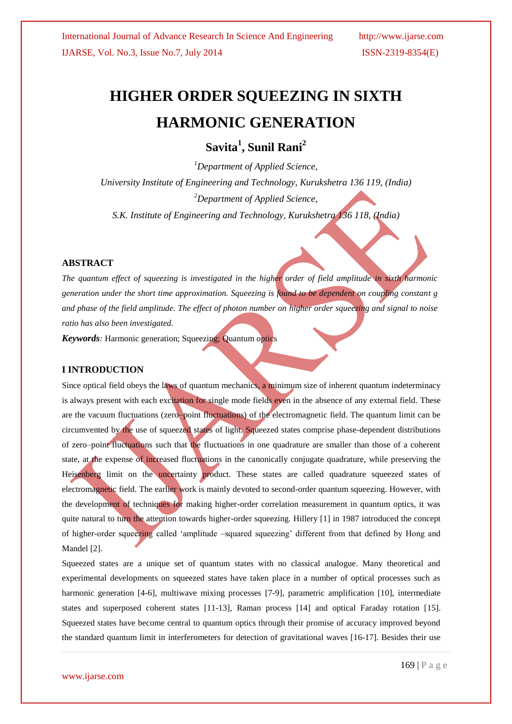# **HIGHER ORDER SQUEEZING IN SIXTH HARMONIC GENERATION**

**Savita<sup>1</sup> , Sunil Rani<sup>2</sup>**

*<sup>1</sup>Department of Applied Science, University Institute of Engineering and Technology, Kurukshetra 136 119, (India) <sup>2</sup>Department of Applied Science, S.K. Institute of Engineering and Technology, Kurukshetra 136 118, (India)*

### **ABSTRACT**

*The quantum effect of squeezing is investigated in the higher order of field amplitude in sixth harmonic generation under the short time approximation. Squeezing is found to be dependent on coupling constant g and phase of the field amplitude. The effect of photon number on higher order squeezing and signal to noise ratio has also been investigated.*

*Keywords:* Harmonic generation; Squeezing; Quantum optics

#### **I INTRODUCTION**

Since optical field obeys the laws of quantum mechanics, a minimum size of inherent quantum indeterminacy is always present with each excitation for single mode fields even in the absence of any external field. These are the vacuum fluctuations (zero–point fluctuations) of the electromagnetic field. The quantum limit can be circumvented by the use of squeezed states of light. Squeezed states comprise phase-dependent distributions of zero–point fluctuations such that the fluctuations in one quadrature are smaller than those of a coherent state, at the expense of increased fluctuations in the canonically conjugate quadrature, while preserving the Heisenberg limit on the uncertainty product. These states are called quadrature squeezed states of electromagnetic field. The earlier work is mainly devoted to second-order quantum squeezing. However, with the development of techniques for making higher-order correlation measurement in quantum optics, it was quite natural to turn the attention towards higher-order squeezing. Hillery [1] in 1987 introduced the concept of higher-order squeezing called 'amplitude –squared squeezing' different from that defined by Hong and Mandel [2].

Squeezed states are a unique set of quantum states with no classical analogue. Many theoretical and experimental developments on squeezed states have taken place in a number of optical processes such as harmonic generation [4-6], multiwave mixing processes [7-9], parametric amplification [10], intermediate states and superposed coherent states [11-13], Raman process [14] and optical Faraday rotation [15]. Squeezed states have become central to quantum optics through their promise of accuracy improved beyond the standard quantum limit in interferometers for detection of gravitational waves [16-17]. Besides their use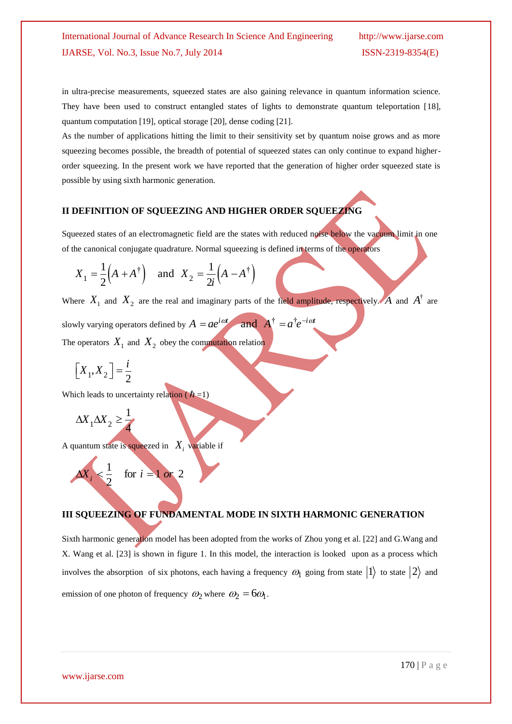in ultra-precise measurements, squeezed states are also gaining relevance in quantum information science. They have been used to construct entangled states of lights to demonstrate quantum teleportation [18], quantum computation [19], optical storage [20], dense coding [21].

As the number of applications hitting the limit to their sensitivity set by quantum noise grows and as more squeezing becomes possible, the breadth of potential of squeezed states can only continue to expand higherorder squeezing. In the present work we have reported that the generation of higher order squeezed state is possible by using sixth harmonic generation.

## **II DEFINITION OF SQUEEZING AND HIGHER ORDER SQUEEZING**

Squeezed states of an electromagnetic field are the states with reduced noise below the vacuum limit in one of the canonical conjugate quadrature. Normal squeezing is defined in terms of the operators<br>  $X_1 = \frac{1}{2}(A + A^{\dagger})$  and  $X_2 = \frac{1}{2}(A - A^{\dagger})$ 

$$
X_1 = \frac{1}{2} (A + A^{\dagger}) \quad \text{and} \quad X_2 = \frac{1}{2i} (A - A^{\dagger})
$$

Where  $X_1$  and  $X_2$  are the real and imaginary parts of the field amplitude, respectively. A and  $A^{\dagger}$  are

slowly varying operators defined by  $A = ae^{i\omega t}$  and  $A^{\dagger} = a^{\dagger}e^{-i\omega t}$ The operators  $X_1$  and  $X_2$  obey the commutation relation

$$
\left[X_1, X_2\right] = \frac{i}{2}
$$

Which leads to uncertainty relation ( $\hbar$ =1)

$$
\Delta X_1 \Delta X_2 \ge \frac{1}{4}
$$

A quantum state is squeezed in  $X_i$  variable if

$$
\Delta X_i < \frac{1}{2} \quad \text{for } i = 1 \text{ or } 2
$$

## **III SQUEEZING OF FUNDAMENTAL MODE IN SIXTH HARMONIC GENERATION**

Sixth harmonic generation model has been adopted from the works of Zhou yong et al. [22] and G.Wang and X. Wang et al. [23] is shown in figure 1. In this model, the interaction is looked upon as a process which involves the absorption of six photons, each having a frequency  $\omega_1$  going from state  $|1\rangle$  to state  $|2\rangle$  and emission of one photon of frequency  $\omega_2$  where  $\omega_2 = 6\omega_1$ .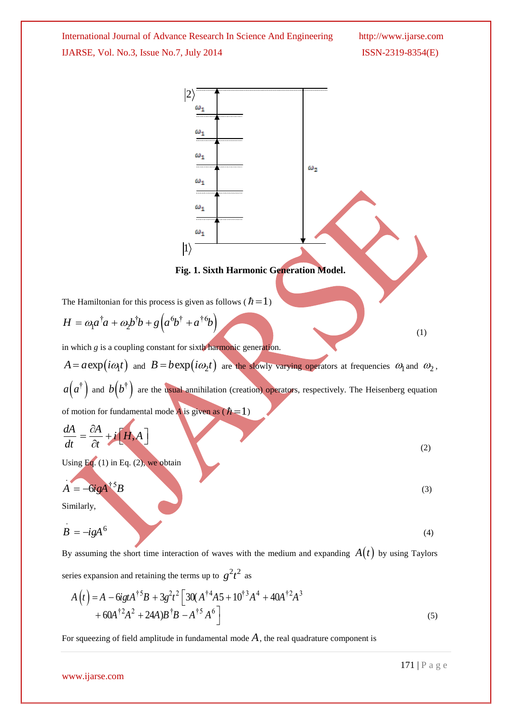

$$
A(t) = A - 6igtA†5B + 3g2t2 [30(A†4A5 + 10†3A4 + 40A†2A3+ 60A†2A2 + 24A)B†B - A†5A6 ]
$$
\n(5)

For squeezing of field amplitude in fundamental mode  $A$ , the real quadrature component is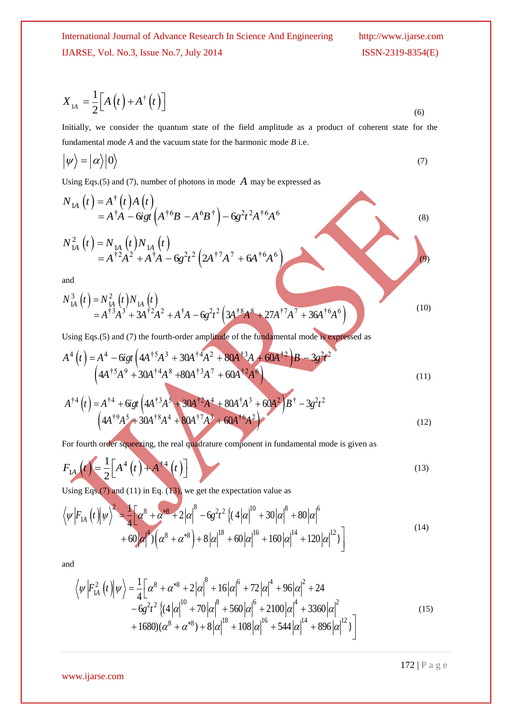$$
X_{1A} = \frac{1}{2} \Big[ A(t) + A^{\dagger}(t) \Big]
$$
 (6)

Initially, we consider the quantum state of the field amplitude as a product of coherent state for the fundamental mode *A* and the vacuum state for the harmonic mode *B* i.e.

$$
|\psi\rangle = |\alpha\rangle|0\rangle \tag{7}
$$

$$
X_{1A} = \frac{1}{2} [A(t) + A^{\dagger}(t)]
$$
\nInitially, we consider the quantum state of the field amplitude as a product of coherent state for the  
\nfundamental mode A and the vacuum state for the harmonic mode B i.e.

\n
$$
|\psi\rangle = |\alpha\rangle|0\rangle
$$
\nUsing Eqs.(5) and (7), number of photons in mode A may be expressed as

\n
$$
N_{1A}(t) = A^{\dagger}(t) A(t)
$$
\n
$$
= A^{\dagger}A - G g t (A^{\dagger}B - A^6B^{\dagger}) - G g^2 t^2 A^{\dagger}A^6
$$
\n
$$
N_{1A}^2(t) = N_{1A}^1(t) N_{1A}(t)
$$
\n
$$
= A^{\dagger}A^2 + A^{\dagger}A - G g^2 t^2 (2A^{\dagger}7A^7 + 6A^{\dagger}6A^6)
$$
\nUsing Eqs.(5) and (7) the fourth-order amplitude of the fundamental mode is expressed as

\n
$$
A^4(t) = A^4 - G g t (4A^{\dagger}5A^3 + 30A^{\dagger}A^2 + 80A^{\dagger}3A + 20A^{\dagger}A^4 + 30A^{\dagger}A^3 + 30A^{\dagger}A^2 + 30A^{\dagger}A^4 + 30A^{\dagger}A^3 + 60A^{\dagger}A^3)
$$
\nUsing Eqs.(5) and (7) the fourth-order amplitude of the fundamental mode is given as

\n
$$
A^4(t) = A^4 + G g t (4A^{\dagger}3A^3 + 30A^{\dagger}A^4 + 80A^{\dagger}3A^7 + 60A^{\dagger}A^3) + 60A^{\dagger}A^3 + 60A^{\dagger}A^3 + 60A^{\dagger}A^3 + 60A^{\dagger}A^3)
$$
\nFor fourth order sequence, the equation for the formula 
$$
A^4(t) = A^4 + G g t (4A^{\dagger}3A^5 + 30A^{\dagger}A^4 + 80A^{\dagger}3A^7 + 60A^{\dagger}A^3) + 60A^{\dagger}A^3 + 60A^2A^3
$$
\nFor fourth order sequence, the system is in fundamental mode is given as

\n<math display="block</math>

and

and  
\n
$$
N_{1A}^{3}(t) = N_{1A}^{2}(t)N_{1A}(t)
$$
\n
$$
= A^{\dagger 3}A^{3} + 3A^{\dagger 2}A^{2} + A^{\dagger}A - 6g^{2}t^{2} \left(3A^{\dagger 8}A^{8} + 27A^{\dagger 7}A^{7} + 36A^{\dagger 6}A^{6}\right)
$$
\n(10)

Using Eqs.(5) and (7) the fourth-order amplitude of the fundamental mode is expressed as

Using Eqs.(5) and (7) the fourth-order amplitude of the fundamental mode is expressed as  
\n
$$
A^4(t) = A^4 - 6igt \left(4A^{\dagger 5}A^3 + 30A^{\dagger 4}A^2 + 80A^{\dagger 3}A + 60A^{\dagger 2}B - 3g^2t^2 - \left(4A^{\dagger 5}A^9 + 30A^{\dagger 4}A^8 + 80A^{\dagger 3}A^7 + 60A^{\dagger 2}A^6\right)
$$
\n(11)  
\n
$$
A^{\dagger 4}(t) = A^{\dagger 4} + 6igt \left(4A^{\dagger 3}A^5 + 30A^{\dagger 2}A^4 + 80A^{\dagger}A^3 + 60A^2\right)B^{\dagger} - 3g^2t^2
$$

$$
A^{\dagger 4}(t) = A^{\dagger 4} + 6igt \left( 4A^{\dagger 3}A^{5} + 30A^{\dagger 2}A^{4} + 80A^{\dagger}A^{3} + 60A^{2} \right)B^{\dagger} - 3g^{2}t^{2}
$$
  
\n
$$
\left( 4A^{\dagger 9}A^{5} + 30A^{\dagger 8}A^{4} + 80A^{\dagger 7}A^{3} + 60A^{\dagger 6}A^{2} \right)
$$
\n(12)

For fourth order squeezing, the real quadrature component in fundamental mode is given as

$$
F_{1A}\left(t\right) = \frac{1}{2}\left[A^4\left(t\right) + A^{\dagger 4}\left(t\right)\right] \tag{13}
$$

Using Eqs.(7) and (11) in Eq. (13), we get the expectation value as

Using Eqs. (7) and (11) in Eq. (13), we get the expectation value as  
\n
$$
\langle \psi | F_{1A} (t) | \psi \rangle^2 = \frac{1}{4} \Big[ \alpha^8 + \alpha^{*8} + 2 | \alpha |^8 - 6g^2 t^2 \Big\{ (4 | \alpha |^{10} + 30 | \alpha |^8 + 80 | \alpha |^6 + 160 | \alpha |^{12} + 60 | \alpha |^4 + 120 | \alpha |^{12} \Big\} \Big]
$$
\n(14)

and

$$
\langle \psi | F_{1A}^{2}(t) | \psi \rangle = \frac{1}{4} \Big[ \alpha^{8} + \alpha^{*8} + 2 \Big| \alpha \Big|^{8} + 16 \Big| \alpha \Big|^{6} + 72 \Big| \alpha \Big|^{4} + 96 \Big| \alpha \Big|^{2} + 24
$$
  
\n
$$
-6g^{2}t^{2} \Big\{ (4 \Big| \alpha \Big|^{10} + 70 \Big| \alpha \Big|^{8} + 560 \Big| \alpha \Big|^{6} + 2100 \Big| \alpha \Big|^{4} + 3360 \Big| \alpha \Big|^{2}
$$
  
\n
$$
+ 1680)(\alpha^{8} + \alpha^{*8}) + 8 \Big| \alpha \Big|^{18} + 108 \Big| \alpha \Big|^{16} + 544 \Big| \alpha \Big|^{14} + 896 \Big| \alpha \Big|^{12} \Big]
$$
  
\n(15)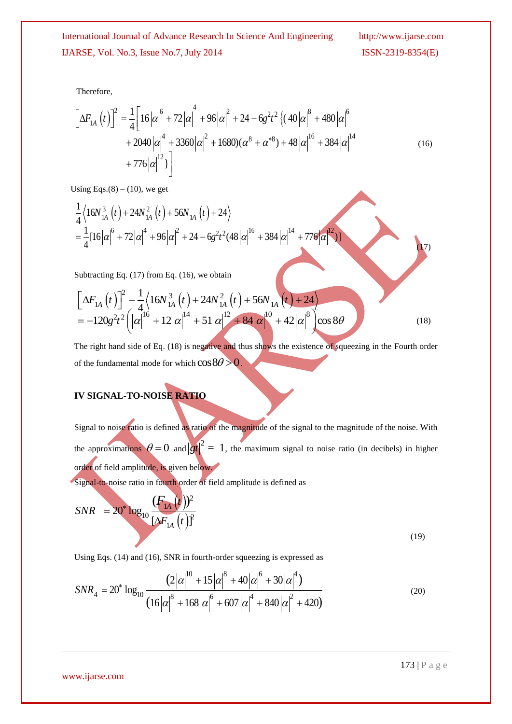Therefore,

Therefore,  
\n
$$
\left[\Delta F_{1A} (t)\right]^2 = \frac{1}{4} \left[16|\alpha|^6 + 72|\alpha|^4 + 96|\alpha|^2 + 24 - 6g^2t^2 \left\{(40|\alpha|^8 + 480|\alpha|^6 + 2040|\alpha|^4 + 3360|\alpha|^4 + 1680)(\alpha^8 + \alpha^{*8}) + 48|\alpha|^16 + 384|\alpha|^14 + 776|\alpha|^12\right\}\right]
$$
\n(16)

Using Eqs.(8) – (10), we get  
\n
$$
\frac{1}{4} \langle 16N_{1A}^{3}(t) + 24N_{1A}^{2}(t) + 56N_{1A}(t) + 24 \rangle
$$
\n
$$
= \frac{1}{4} [16|\alpha|^{6} + 72|\alpha|^{4} + 96|\alpha|^{2} + 24 - 6g^{2}t^{2}(48|\alpha|^{16} + 384|\alpha|^{14} + 776|\alpha|^{12})]
$$

Subtracting Eq. (17) from Eq. (16), we obtain

Subtracting Eq. (17) from Eq. (16), we obtain  
\n
$$
\left[\Delta F_{1A}(t)\right]^2 - \frac{1}{4} \left\langle 16N_{1A}^3(t) + 24N_{1A}^2(t) + 56N_{1A}(t) + 24 \right\rangle
$$
\n
$$
= -120g^2t^2 \left( |\alpha|^{16} + 12|\alpha|^{14} + 51|\alpha|^{12} + 84|\alpha|^{10} + 42|\alpha|^8 \right) \cos 8\theta
$$
\n(18)

The right hand side of Eq. (18) is negative and thus shows the existence of squeezing in the Fourth order of the fundamental mode for which  $\cos 8\theta > 0$ .

## **IV SIGNAL-TO-NOISE RATIO**

Signal to noise ratio is defined as ratio of the magnitude of the signal to the magnitude of the noise. With the approximations  $\theta = 0$  and  $|gt|^2 = 1$ , the maximum signal to noise ratio (in decibels) in higher order of field amplitude, is given below.

Signal-to-noise ratio in fourth order of field amplitude is defined as  
\n
$$
SNR = 20^* \log_{10} \frac{(F_{1A}(t))^2}{[\Delta F_{1A}(t)]^2}
$$
\n(19)

Using Eqs. (14) and (16), SNR in fourth-order squeezing is expressed as  
\n
$$
SNR_4 = 20^* \log_{10} \frac{(2|\alpha|^{\frac{10}{6}} + 15|\alpha|^8 + 40|\alpha|^6 + 30|\alpha|^4)}{(16|\alpha|^8 + 168|\alpha|^6 + 607|\alpha|^4 + 840|\alpha|^2 + 420)}
$$
\n(20)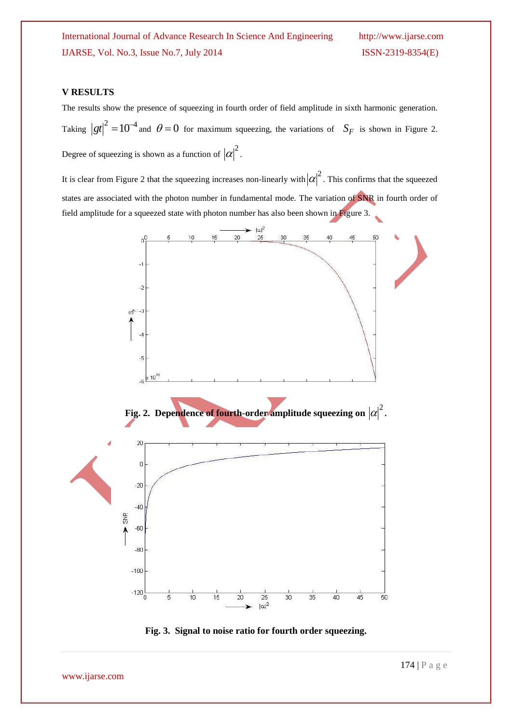## **V RESULTS**

The results show the presence of squeezing in fourth order of field amplitude in sixth harmonic generation. Taking  $|gt|^2 = 10^{-4}$  and  $\theta = 0$  for maximum squeezing, the variations of  $S_F$  is shown in Figure 2. Degree of squeezing is shown as a function of  $|\alpha|^2$ .

It is clear from Figure 2 that the squeezing increases non-linearly with  $|\alpha|^2$ . This confirms that the squeezed states are associated with the photon number in fundamental mode. The variation of SNR in fourth order of field amplitude for a squeezed state with photon number has also been shown in Figure 3.



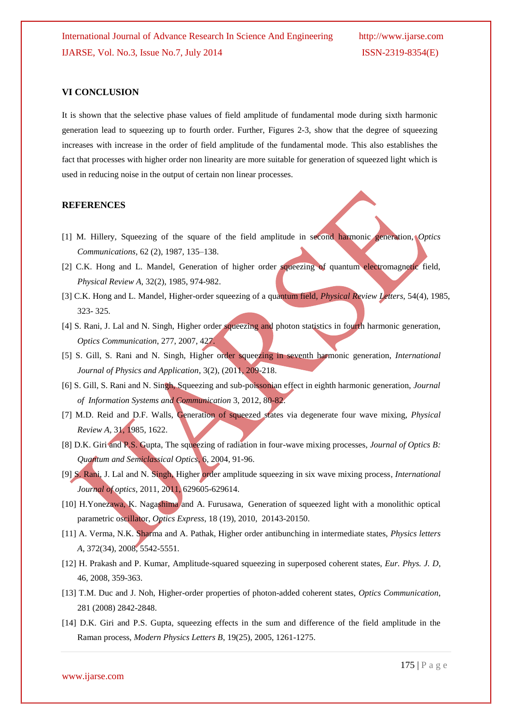## **VI CONCLUSION**

It is shown that the selective phase values of field amplitude of fundamental mode during sixth harmonic generation lead to squeezing up to fourth order. Further, Figures 2-3, show that the degree of squeezing increases with increase in the order of field amplitude of the fundamental mode. This also establishes the fact that processes with higher order non linearity are more suitable for generation of squeezed light which is used in reducing noise in the output of certain non linear processes.

#### **REFERENCES**

- [1] M. Hillery, Squeezing of the square of the field amplitude in second harmonic generation, *Optics Communications,* 62 (2), 1987, 135–138.
- [2] C.K. Hong and L. Mandel, Generation of higher order squeezing of quantum electromagnetic field, *Physical Review A,* 32(2), 1985, 974-982.
- [3] C.K. Hong and L. Mandel, Higher-order squeezing of a quantum field, *Physical Review Letters*, 54(4), 1985, 323- 325.
- [4] S. Rani, J. Lal and N. Singh, Higher order squeezing and photon statistics in fourth harmonic generation, *Optics Communication*, 277, 2007, 427.
- [5] S. Gill, S. Rani and N. Singh, Higher order squeezing in seventh harmonic generation, *International Journal of Physics and Application*, 3(2), (2011, 209-218.
- [6] S. Gill, S. Rani and N. Singh, Squeezing and sub-poissonian effect in eighth harmonic generation, *Journal of Information Systems and Communication* 3, 2012, 80-82.
- [7] M.D. Reid and D.F. Walls, Generation of squeezed states via degenerate four wave mixing, *Physical Review A,* 31, 1985, 1622.
- [8] D.K. Giri and P.S. Gupta, The squeezing of radiation in four-wave mixing processes, *Journal of Optics B: Quantum and Semiclassical Optics*, 6, 2004, 91-96.
- [9] S. Rani, J. Lal and N. Singh, Higher order amplitude squeezing in six wave mixing process*, International Journal of optics,* 2011, 2011, 629605-629614.
- [10] H.Yonezawa, K. Nagashima and A. Furusawa, Generation of squeezed light with a monolithic optical parametric oscillator, *Optics Express*, 18 (19), 2010, 20143-20150.
- [11] A. Verma, N.K. Sharma and A. Pathak, Higher order antibunching in intermediate states, *Physics letters A*, 372(34), 2008, 5542-5551.
- [12] H. Prakash and P. Kumar, Amplitude-squared squeezing in superposed coherent states, *Eur. Phys. J. D*, 46, 2008, 359-363.
- [13] T.M. Duc and J. Noh, Higher-order properties of photon-added coherent states, *Optics Communication*, 281 (2008) 2842-2848.
- [14] D.K. Giri and P.S. Gupta, squeezing effects in the sum and difference of the field amplitude in the Raman process, *Modern Physics Letters B*, 19(25), 2005, 1261-1275.